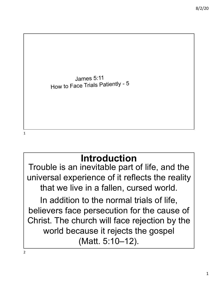James 5:11 How to Face Trials Patiently - <sup>5</sup>

# **Introduction**

Trouble is an inevitable part of life, and the universal experience of it reflects the reality that we live in a fallen, cursed world.

In addition to the normal trials of life, believers face persecution for the cause of Christ. The church will face rejection by the world because it rejects the gospel (Matt. 5:10–12).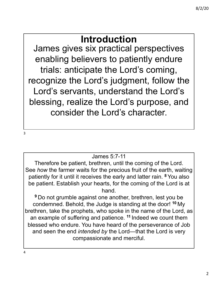# **Introduction**

James gives six practical perspectives enabling believers to patiently endure trials: anticipate the Lord's coming, recognize the Lord's judgment, follow the Lord's servants, understand the Lord's blessing, realize the Lord's purpose, and consider the Lord's character.

3

#### James 5:7-11

Therefore be patient, brethren, until the coming of the Lord. See *how* the farmer waits for the precious fruit of the earth, waiting patiently for it until it receives the early and latter rain. **<sup>8</sup>** You also be patient. Establish your hearts, for the coming of the Lord is at hand.

**<sup>9</sup>** Do not grumble against one another, brethren, lest you be condemned. Behold, the Judge is standing at the door! **<sup>10</sup>** My brethren, take the prophets, who spoke in the name of the Lord, as an example of suffering and patience. **<sup>11</sup>** Indeed we count them blessed who endure. You have heard of the perseverance of Job and seen the end *intended by* the Lord—that the Lord is very compassionate and merciful.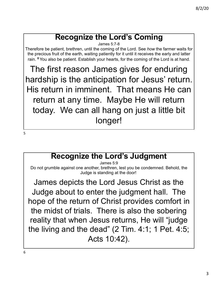# **Recognize the Lord's Coming**

James 5:7-8

Therefore be patient, brethren, until the coming of the Lord. See *how* the farmer waits for the precious fruit of the earth, waiting patiently for it until it receives the early and latter rain. **<sup>8</sup>** You also be patient. Establish your hearts, for the coming of the Lord is at hand.

The first reason James gives for enduring hardship is the anticipation for Jesus' return. His return in imminent. That means He can return at any time. Maybe He will return today. We can all hang on just a little bit longer!

5

#### **Recognize the Lord's Judgment**

James 5:9

Do not grumble against one another, brethren, lest you be condemned. Behold, the Judge is standing at the door!

James depicts the Lord Jesus Christ as the Judge about to enter the judgment hall. The hope of the return of Christ provides comfort in the midst of trials. There is also the sobering reality that when Jesus returns, He will "judge the living and the dead" (2 Tim. 4:1; 1 Pet. 4:5; Acts 10:42).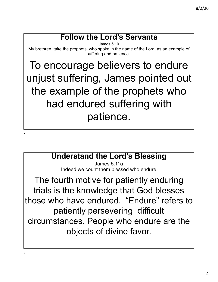# **Follow the Lord's Servants**

James 5:10

My brethren, take the prophets, who spoke in the name of the Lord, as an example of suffering and patience.

To encourage believers to endure unjust suffering, James pointed out the example of the prophets who had endured suffering with patience.

**Understand the Lord's Blessing**

James 5:11a Indeed we count them blessed who endure.

The fourth motive for patiently enduring trials is the knowledge that God blesses those who have endured. "Endure" refers to patiently persevering difficult circumstances. People who endure are the objects of divine favor.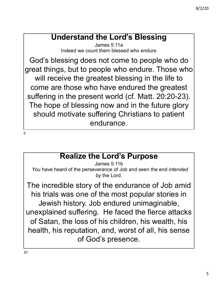## **Understand the Lord's Blessing**

James 5:11a Indeed we count them blessed who endure.

God's blessing does not come to people who do great things, but to people who endure. Those who will receive the greatest blessing in the life to come are those who have endured the greatest suffering in the present world (cf. Matt. 20:20-23). The hope of blessing now and in the future glory should motivate suffering Christians to patient endurance.

9

# **Realize the Lord's Purpose**

James 5:11b You have heard of the perseverance of Job and seen the end *intended by* the Lord.

The incredible story of the endurance of Job amid his trials was one of the most popular stories in Jewish history. Job endured unimaginable, unexplained suffering. He faced the fierce attacks of Satan, the loss of his children, his wealth, his health, his reputation, and, worst of all, his sense of God's presence.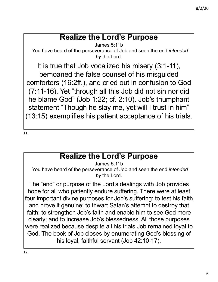## **Realize the Lord's Purpose**

James 5:11b

You have heard of the perseverance of Job and seen the end *intended by* the Lord.

It is true that Job vocalized his misery (3:1-11), bemoaned the false counsel of his misguided comforters (16:2ff.), and cried out in confusion to God (7:11-16). Yet "through all this Job did not sin nor did he blame God" (Job 1:22; cf. 2:10). Job's triumphant statement "Though he slay me, yet will I trust in him" (13:15) exemplifies his patient acceptance of his trials.

11

#### **Realize the Lord's Purpose**

James 5:11b You have heard of the perseverance of Job and seen the end *intended by* the Lord.

The "end" or purpose of the Lord's dealings with Job provides hope for all who patiently endure suffering. There were at least four important divine purposes for Job's suffering: to test his faith and prove it genuine; to thwart Satan's attempt to destroy that faith; to strengthen Job's faith and enable him to see God more clearly; and to increase Job's blessedness. All those purposes were realized because despite all his trials Job remained loyal to God. The book of Job closes by enumerating God's blessing of his loyal, faithful servant (Job 42:10-17).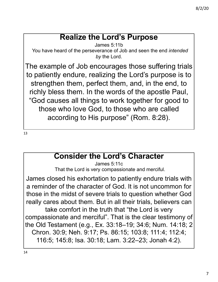### **Realize the Lord's Purpose**

James 5:11b

You have heard of the perseverance of Job and seen the end *intended by* the Lord.

The example of Job encourages those suffering trials to patiently endure, realizing the Lord's purpose is to strengthen them, perfect them, and, in the end, to richly bless them. In the words of the apostle Paul, "God causes all things to work together for good to those who love God, to those who are called according to His purpose" (Rom. 8:28).

13

#### **Consider the Lord's Character**

James 5:11c That the Lord is very compassionate and merciful.

James closed his exhortation to patiently endure trials with a reminder of the character of God. It is not uncommon for those in the midst of severe trials to question whether God really cares about them. But in all their trials, believers can take comfort in the truth that "the Lord is very compassionate and merciful". That is the clear testimony of the Old Testament (e.g., Ex. 33:18–19; 34:6; Num. 14:18; 2 Chron. 30:9; Neh. 9:17; Ps. 86:15; 103:8; 111:4; 112:4; 116:5; 145:8; Isa. 30:18; Lam. 3:22–23; Jonah 4:2).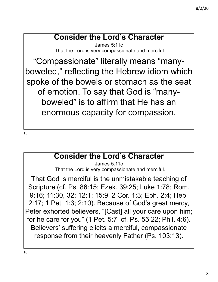# **Consider the Lord's Character**

James 5:11c That the Lord is very compassionate and merciful.

"Compassionate" literally means "manyboweled," reflecting the Hebrew idiom which spoke of the bowels or stomach as the seat of emotion. To say that God is "manyboweled" is to affirm that He has an enormous capacity for compassion.

15

#### **Consider the Lord's Character**

James 5:11c That the Lord is very compassionate and merciful.

That God is merciful is the unmistakable teaching of Scripture (cf. Ps. 86:15; Ezek. 39:25; Luke 1:78; Rom. 9:16; 11:30, 32; 12:1; 15:9; 2 Cor. 1:3; Eph. 2:4; Heb. 2:17; 1 Pet. 1:3; 2:10). Because of God's great mercy, Peter exhorted believers, "[Cast] all your care upon him; for he care for you" (1 Pet. 5:7; cf. Ps. 55:22; Phil. 4:6). Believers' suffering elicits a merciful, compassionate response from their heavenly Father (Ps. 103:13).